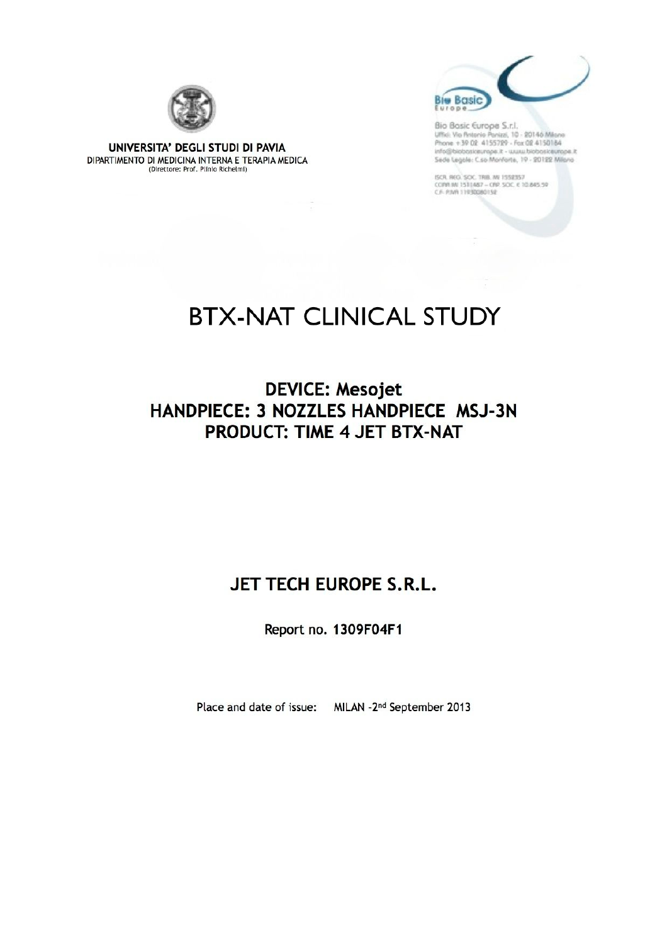





Bio Basic Europe S.r.l. Uffici: Via Pritonio Pankrzi, 10 - 2014ó Milano<br>Phone + 39 02 4155729 - Fax 02 4150184 info@biobasiceurope.it - www.biobasiceurope.it<br>Sede Legole: C.so Monforte, 19 - 20122 Milano ti agon

ISOL INCL SOC, TRB. AV 1552357<br>COPVI NV 1511487 - CIP: SOC, € 10.845.59<br>C.F. P.MI 11930080152

# **BTX-NAT CLINICAL STUDY**

# **DEVICE: Mesojet** HANDPIECE: 3 NOZZLES HANDPIECE MSJ-3N PRODUCT: TIME 4 JET BTX-NAT

# JET TECH EUROPE S.R.L.

Report no. 1309F04F1

Place and date of issue: MILAN -2<sup>nd</sup> September 2013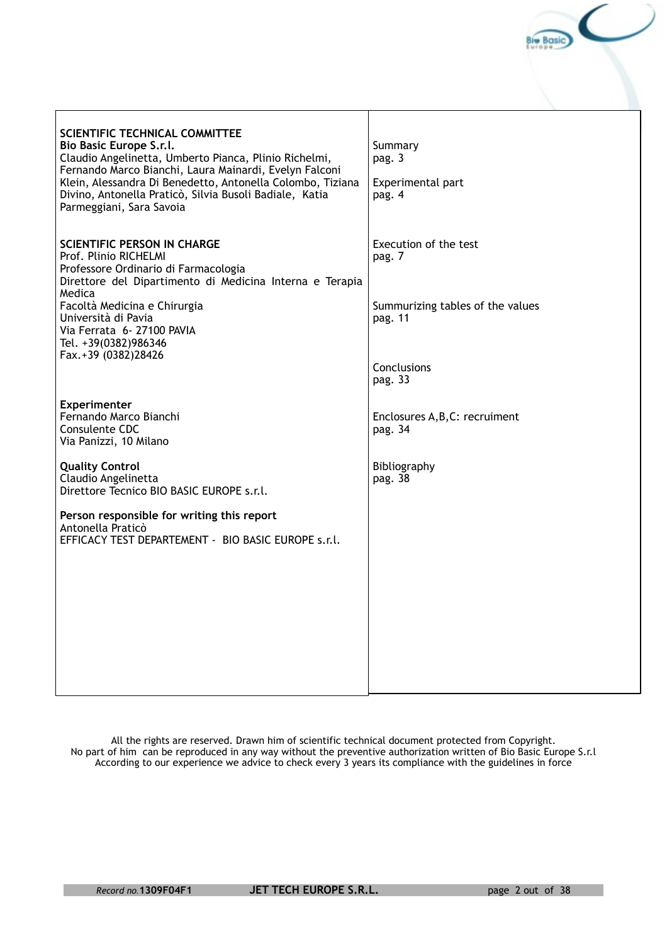

| SCIENTIFIC TECHNICAL COMMITTEE<br>Bio Basic Europe S.r.l.<br>Claudio Angelinetta, Umberto Pianca, Plinio Richelmi,<br>Fernando Marco Bianchi, Laura Mainardi, Evelyn Falconi<br>Klein, Alessandra Di Benedetto, Antonella Colombo, Tiziana<br>Divino, Antonella Praticò, Silvia Busoli Badiale, Katia<br>Parmeggiani, Sara Savoia | Summary<br>pag. 3<br>Experimental part<br>pag. 4 |
|-----------------------------------------------------------------------------------------------------------------------------------------------------------------------------------------------------------------------------------------------------------------------------------------------------------------------------------|--------------------------------------------------|
| <b>SCIENTIFIC PERSON IN CHARGE</b><br>Prof. Plinio RICHELMI<br>Professore Ordinario di Farmacologia<br>Direttore del Dipartimento di Medicina Interna e Terapia<br>Medica                                                                                                                                                         | Execution of the test<br>pag. 7                  |
| Facoltà Medicina e Chirurgia<br>Università di Pavia<br>Via Ferrata 6-27100 PAVIA<br>Tel. +39(0382)986346<br>Fax.+39 (0382)28426                                                                                                                                                                                                   | Summurizing tables of the values<br>pag. 11      |
|                                                                                                                                                                                                                                                                                                                                   | Conclusions<br>pag. 33                           |
| Experimenter<br>Fernando Marco Bianchi<br>Consulente CDC<br>Via Panizzi, 10 Milano                                                                                                                                                                                                                                                | Enclosures A, B, C: recruiment<br>pag. 34        |
| <b>Quality Control</b><br>Claudio Angelinetta<br>Direttore Tecnico BIO BASIC EUROPE s.r.l.                                                                                                                                                                                                                                        | Bibliography<br>pag. 38                          |
| Person responsible for writing this report<br>Antonella Praticò<br>EFFICACY TEST DEPARTEMENT - BIO BASIC EUROPE s.r.l.                                                                                                                                                                                                            |                                                  |
|                                                                                                                                                                                                                                                                                                                                   |                                                  |
|                                                                                                                                                                                                                                                                                                                                   |                                                  |
|                                                                                                                                                                                                                                                                                                                                   |                                                  |

All the rights are reserved. Drawn him of scientific technical document protected from Copyright. No part of him can be reproduced in any way without the preventive authorization written of Bio Basic Europe S.r.l According to our experience we advice to check every 3 years its compliance with the guidelines in force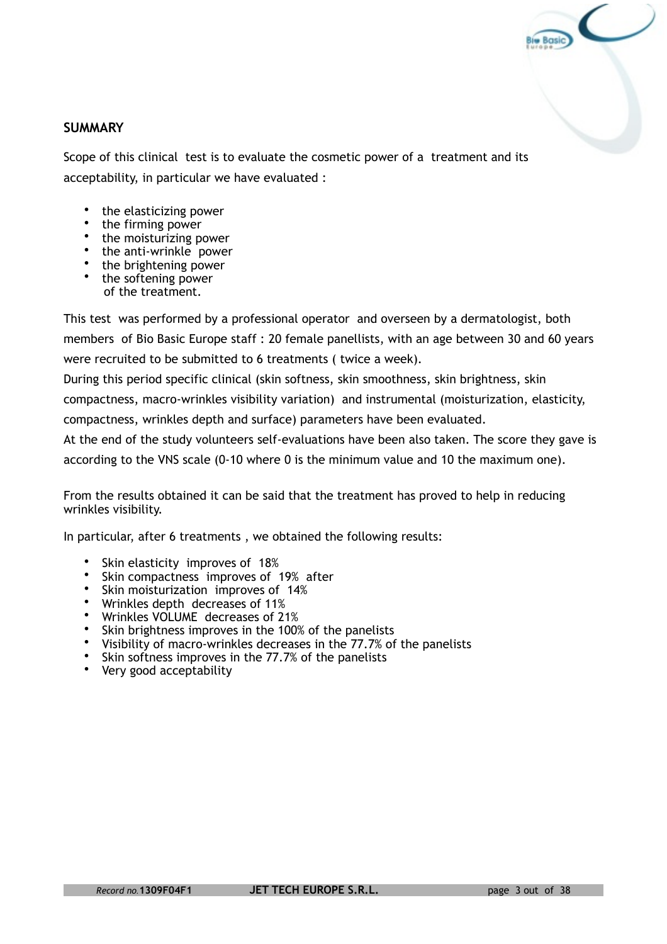

# **SUMMARY**

Scope of this clinical test is to evaluate the cosmetic power of a treatment and its acceptability, in particular we have evaluated :

- the elasticizing power
- the firming power
- the moisturizing power
- the anti-wrinkle power
- the brightening power
- the softening power of the treatment.

This test was performed by a professional operator and overseen by a dermatologist, both members of Bio Basic Europe staff : 20 female panellists, with an age between 30 and 60 years were recruited to be submitted to 6 treatments ( twice a week).

During this period specific clinical (skin softness, skin smoothness, skin brightness, skin compactness, macro-wrinkles visibility variation) and instrumental (moisturization, elasticity, compactness, wrinkles depth and surface) parameters have been evaluated.

At the end of the study volunteers self-evaluations have been also taken. The score they gave is according to the VNS scale (0-10 where 0 is the minimum value and 10 the maximum one).

From the results obtained it can be said that the treatment has proved to help in reducing wrinkles visibility.

In particular, after 6 treatments , we obtained the following results:

- Skin elasticity improves of 18%
- Skin compactness improves of 19% after
- Skin moisturization improves of 14%
- Wrinkles depth decreases of 11%
- Wrinkles VOLUME decreases of 21%
- Skin brightness improves in the 100% of the panelists
- Visibility of macro-wrinkles decreases in the 77.7% of the panelists
- Skin softness improves in the 77.7% of the panelists
- Very good acceptability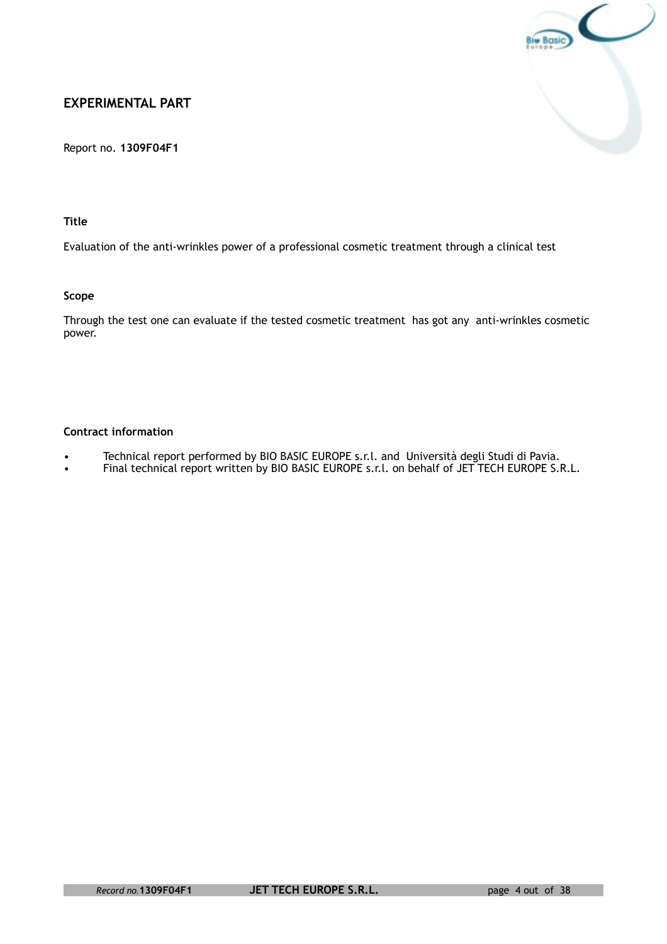

# **EXPERIMENTAL PART**

Report no. **1309F04F1** 

# **Title**

Evaluation of the anti-wrinkles power of a professional cosmetic treatment through a clinical test

# **Scope**

Through the test one can evaluate if the tested cosmetic treatment has got any anti-wrinkles cosmetic power.

# **Contract information**

- Technical report performed by BIO BASIC EUROPE s.r.l. and Università degli Studi di Pavia.
- Final technical report written by BIO BASIC EUROPE s.r.l. on behalf of JET TECH EUROPE S.R.L.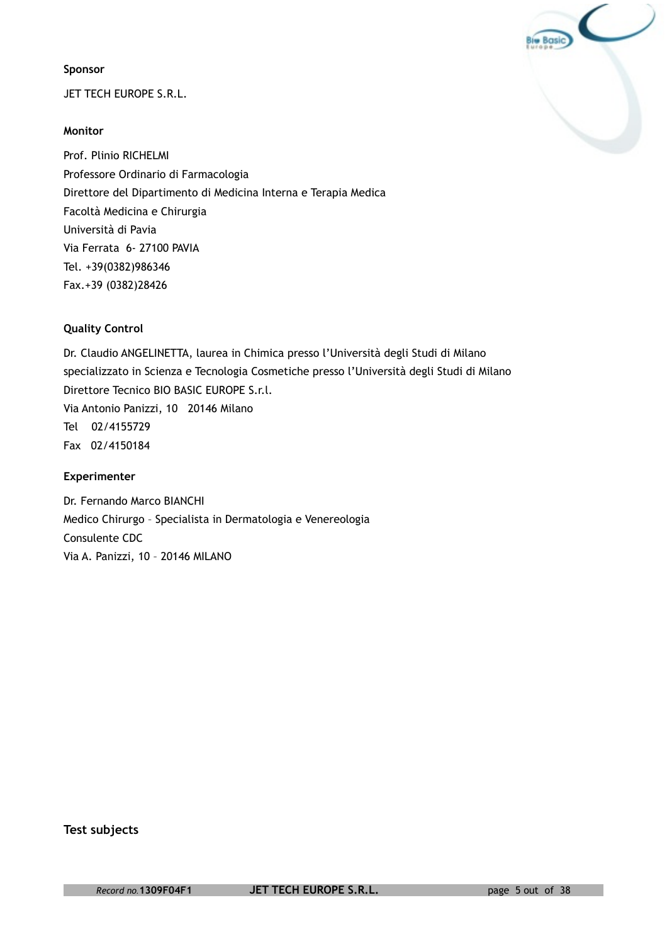

# **Sponsor**

JET TECH EUROPE S.R.L.

# **Monitor**

Prof. Plinio RICHELMI Professore Ordinario di Farmacologia Direttore del Dipartimento di Medicina Interna e Terapia Medica Facoltà Medicina e Chirurgia Università di Pavia Via Ferrata 6- 27100 PAVIA Tel. +39(0382)986346 Fax.+39 (0382)28426

# **Quality Control**

Dr. Claudio ANGELINETTA, laurea in Chimica presso l'Università degli Studi di Milano specializzato in Scienza e Tecnologia Cosmetiche presso l'Università degli Studi di Milano Direttore Tecnico BIO BASIC EUROPE S.r.l. Via Antonio Panizzi, 10 20146 Milano Tel 02/4155729 Fax 02/4150184

# **Experimenter**

Dr. Fernando Marco BIANCHI Medico Chirurgo – Specialista in Dermatologia e Venereologia Consulente CDC Via A. Panizzi, 10 – 20146 MILANO

**Test subjects**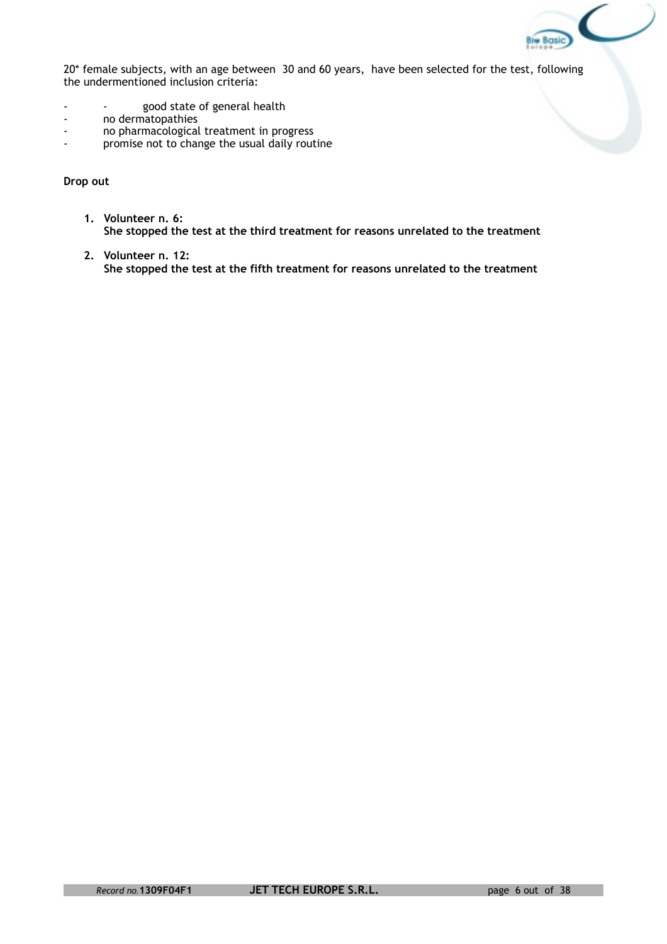

20\* female subjects, with an age between 30 and 60 years, have been selected for the test, following the undermentioned inclusion criteria:

- - good state of general health
- no dermatopathies
- no pharmacological treatment in progress
- promise not to change the usual daily routine

#### **Drop out**

- **1. Volunteer n. 6: She stopped the test at the third treatment for reasons unrelated to the treatment**
- **2. Volunteer n. 12: She stopped the test at the fifth treatment for reasons unrelated to the treatment**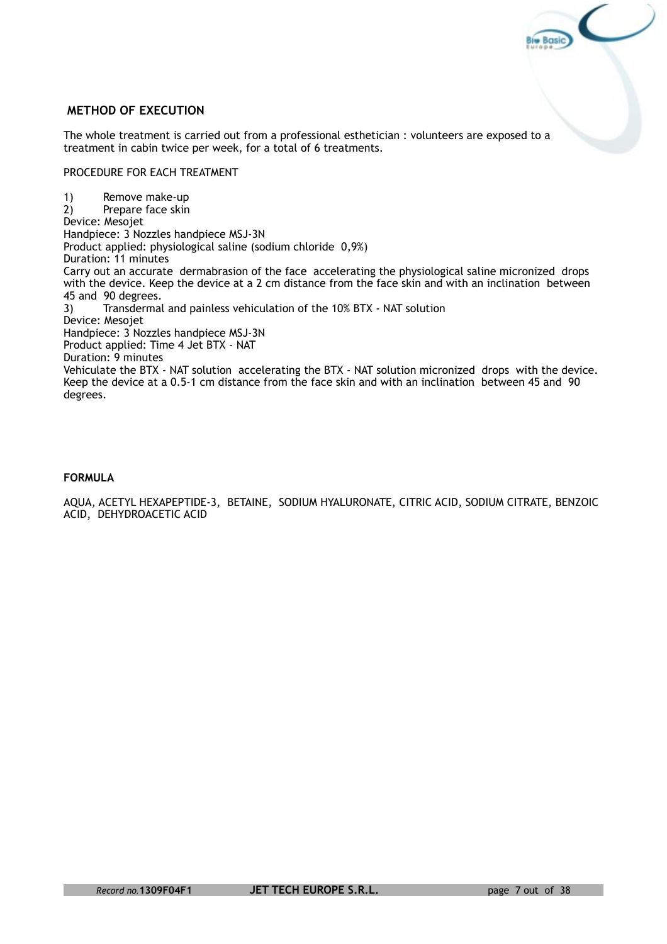# **METHOD OF EXECUTION**

The whole treatment is carried out from a professional esthetician : volunteers are exposed to a treatment in cabin twice per week, for a total of 6 treatments.

### PROCEDURE FOR EACH TREATMENT

1) Remove make-up 2) Prepare face skin Device: Mesojet Handpiece: 3 Nozzles handpiece MSJ-3N Product applied: physiological saline (sodium chloride 0,9%) Duration: 11 minutes Carry out an accurate dermabrasion of the face accelerating the physiological saline micronized drops with the device. Keep the device at a 2 cm distance from the face skin and with an inclination between 45 and 90 degrees. 3) Transdermal and painless vehiculation of the 10% BTX - NAT solution Device: Mesojet Handpiece: 3 Nozzles handpiece MSJ-3N Product applied: Time 4 Jet BTX - NAT Duration: 9 minutes Vehiculate the BTX - NAT solution accelerating the BTX - NAT solution micronized drops with the device. Keep the device at a 0.5-1 cm distance from the face skin and with an inclination between 45 and 90 degrees.

### **FORMULA**

AQUA, ACETYL HEXAPEPTIDE-3, BETAINE, SODIUM HYALURONATE, CITRIC ACID, SODIUM CITRATE, BENZOIC ACID, DEHYDROACETIC ACID

le Basic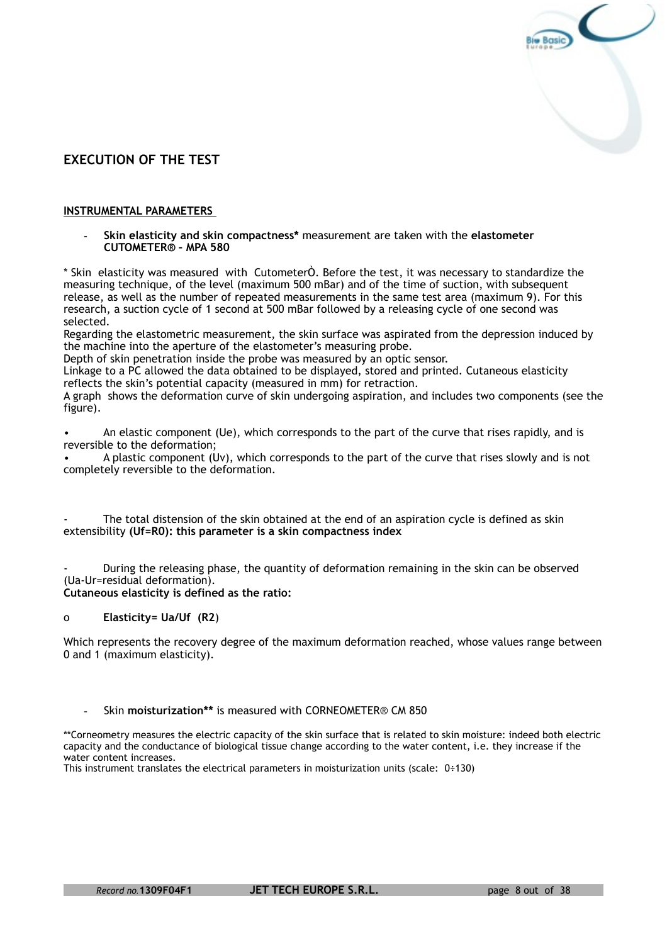

# **EXECUTION OF THE TEST**

# **INSTRUMENTAL PARAMETERS**

- **Skin elasticity and skin compactness\*** measurement are taken with the **elastometer CUTOMETER® – MPA 580** 

\* Skin elasticity was measured with CutometerÒ. Before the test, it was necessary to standardize the measuring technique, of the level (maximum 500 mBar) and of the time of suction, with subsequent release, as well as the number of repeated measurements in the same test area (maximum 9). For this research, a suction cycle of 1 second at 500 mBar followed by a releasing cycle of one second was selected.

Regarding the elastometric measurement, the skin surface was aspirated from the depression induced by the machine into the aperture of the elastometer's measuring probe.

Depth of skin penetration inside the probe was measured by an optic sensor.

Linkage to a PC allowed the data obtained to be displayed, stored and printed. Cutaneous elasticity reflects the skin's potential capacity (measured in mm) for retraction.

A graph shows the deformation curve of skin undergoing aspiration, and includes two components (see the figure).

• An elastic component (Ue), which corresponds to the part of the curve that rises rapidly, and is reversible to the deformation;

• A plastic component (Uv), which corresponds to the part of the curve that rises slowly and is not completely reversible to the deformation.

The total distension of the skin obtained at the end of an aspiration cycle is defined as skin extensibility **(Uf=R0): this parameter is a skin compactness index**

During the releasing phase, the quantity of deformation remaining in the skin can be observed (Ua-Ur=residual deformation).

**Cutaneous elasticity is defined as the ratio:**

### o **Elasticity= Ua/Uf (R2**)

Which represents the recovery degree of the maximum deformation reached, whose values range between 0 and 1 (maximum elasticity).

## - Skin **moisturization\*\*** is measured with CORNEOMETER® CM 850

\*\*Corneometry measures the electric capacity of the skin surface that is related to skin moisture: indeed both electric capacity and the conductance of biological tissue change according to the water content, i.e. they increase if the water content increases.

This instrument translates the electrical parameters in moisturization units (scale: 0÷130)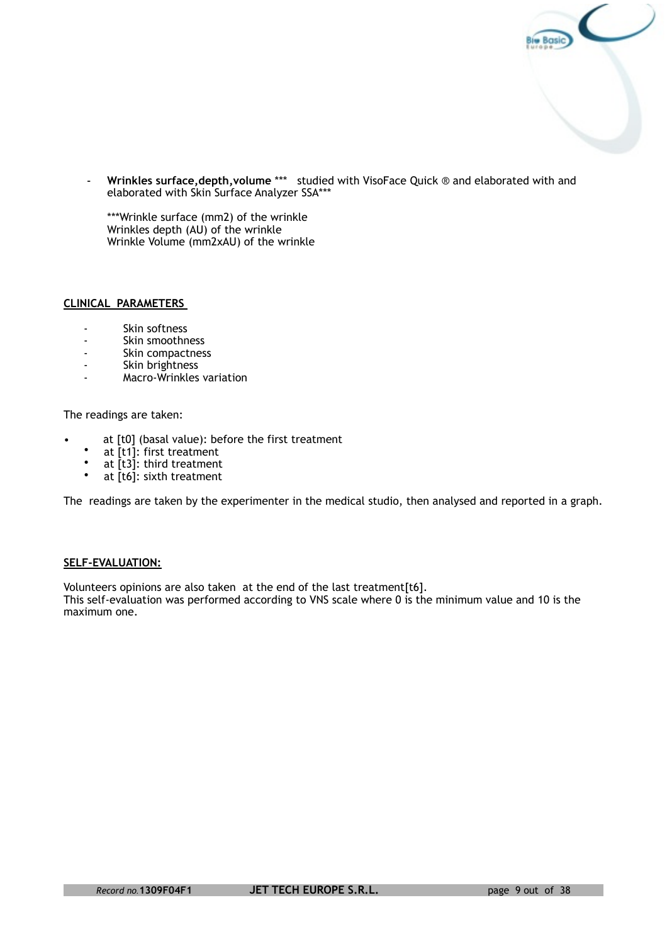

- **Wrinkles surface,depth,volume** \*\*\*studied with VisoFace Quick ® and elaborated with and elaborated with Skin Surface Analyzer SSA\*\*\*

\*\*\*Wrinkle surface (mm2) of the wrinkle Wrinkles depth (AU) of the wrinkle Wrinkle Volume (mm2xAU) of the wrinkle

# **CLINICAL PARAMETERS**

- Skin softness
- Skin smoothness
- Skin compactness
- Skin brightness
- Macro-Wrinkles variation

### The readings are taken:

- at [t0] (basal value): before the first treatment
	- at  $[t1]$ : first treatment<br>• at  $[t3]$ : third treatment
	- at  $[t3]$ : third treatment<br>• at  $[t6]$ : sixth treatment
	- at [t6]: sixth treatment

The readings are taken by the experimenter in the medical studio, then analysed and reported in a graph.

### **SELF-EVALUATION:**

Volunteers opinions are also taken at the end of the last treatment[t6]. This self-evaluation was performed according to VNS scale where 0 is the minimum value and 10 is the maximum one.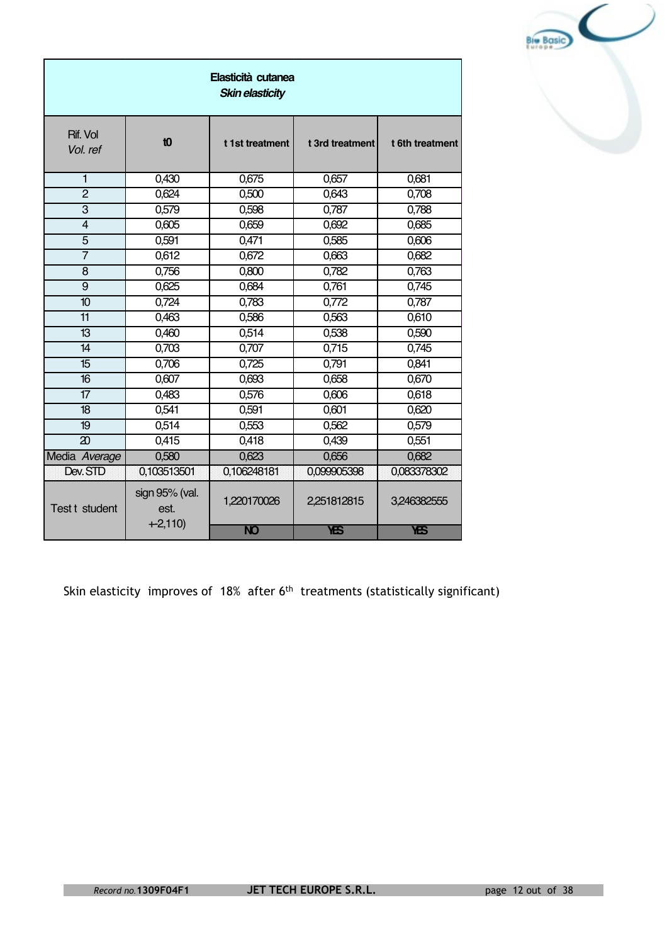|                         | Elasticità cutanea<br><b>Skin elasticity</b> |                 |                 |                 |  |  |
|-------------------------|----------------------------------------------|-----------------|-----------------|-----------------|--|--|
| Rif. Vol<br>Vol. ref    | t <sub>0</sub>                               | t 1st treatment | t 3rd treatment | t 6th treatment |  |  |
| 1                       | 0,430                                        | 0,675           | 0,657           | 0,681           |  |  |
| $\overline{2}$          | 0,624                                        | 0,500           | 0,643           | 0,708           |  |  |
| $\overline{3}$          | 0,579                                        | 0,598           | 0,787           | 0,788           |  |  |
| $\overline{4}$          | 0,605                                        | 0,659           | 0,692           | 0,685           |  |  |
| $\overline{5}$          | 0,591                                        | 0,471           | 0,585           | 0,606           |  |  |
| $\overline{7}$          | 0,612                                        | 0,672           | 0,663           | 0,682           |  |  |
| $\overline{8}$          | 0,756                                        | 0,800           | 0,782           | 0,763           |  |  |
| $\overline{9}$          | 0,625                                        | 0,684           | 0,761           | 0,745           |  |  |
| $\overline{10}$         | 0,724                                        | 0,783           | 0,772           | 0,787           |  |  |
| $\overline{11}$         | 0,463                                        | 0,586           | 0,563           | 0,610           |  |  |
| $\overline{13}$         | 0,460                                        | 0,514           | 0,538           | 0,590           |  |  |
| $\overline{14}$         | 0,703                                        | 0,707           | 0,715           | 0,745           |  |  |
| $\overline{15}$         | 0,706                                        | 0,725           | 0,791           | 0,841           |  |  |
| $\overline{16}$         | 0,607                                        | 0,693           | 0,658           | 0,670           |  |  |
| $\overline{17}$         | 0,483                                        | 0,576           | 0,606           | 0,618           |  |  |
| 18                      | 0,541                                        | 0,591           | 0,601           | 0,620           |  |  |
| $\overline{19}$         | 0,514                                        | 0,553           | 0,562           | 0,579           |  |  |
| $\overline{\mathbf{z}}$ | 0,415                                        | 0,418           | 0,439           | 0,551           |  |  |
| Media Average           | 0,580                                        | 0,623           | 0,656           | 0,682           |  |  |
| Dev. STD                | 0,103513501                                  | 0,106248181     | 0,099905398     | 0,083378302     |  |  |
| Test t student          | sign 95% (val.<br>est.<br>$+2,110$           | 1,220170026     | 2,251812815     | 3,246382555     |  |  |
|                         |                                              | <b>NO</b>       | <b>YES</b>      | <b>YES</b>      |  |  |

Skin elasticity improves of 18% after 6<sup>th</sup> treatments (statistically significant)

**Bie Basic**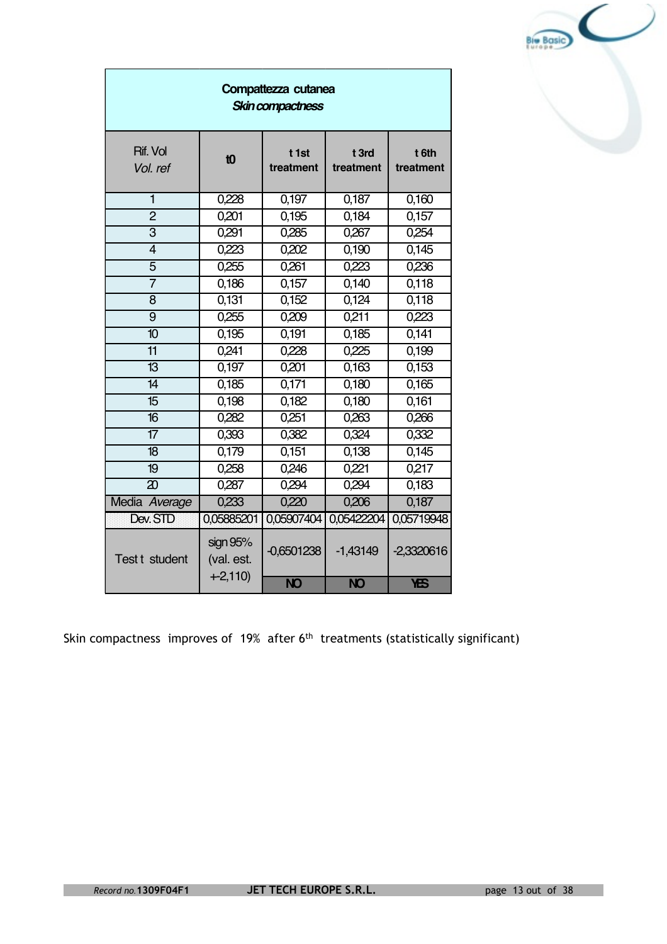

| Compattezza cutanea<br>Skin compactness |                                    |                    |                    |                    |  |  |
|-----------------------------------------|------------------------------------|--------------------|--------------------|--------------------|--|--|
| Rif. Vol<br>Vol. ref                    | t <sub>0</sub>                     | t 1st<br>treatment | t 3rd<br>treatment | t 6th<br>treatment |  |  |
| 1                                       | 0,228                              | 0,197              | 0,187              | 0,160              |  |  |
| $\overline{2}$                          | 0,201                              | 0,195              | 0,184              | 0,157              |  |  |
| $\overline{3}$                          | 0,291                              | 0,285              | 0,267              | 0,254              |  |  |
| $\overline{4}$                          | 0,223                              | 0,202              | 0,190              | 0,145              |  |  |
| $\overline{5}$                          | 0,255                              | 0,261              | 0,223              | 0,236              |  |  |
| $\overline{7}$                          | 0,186                              | 0,157              | 0,140              | 0,118              |  |  |
| $\overline{8}$                          | 0,131                              | 0,152              | 0,124              | 0,118              |  |  |
| 9                                       | 0,255                              | 0,209              | 0,211              | 0,223              |  |  |
| $\overline{10}$                         | 0,195                              | 0,191              | 0,185              | 0,141              |  |  |
| $\overline{11}$                         | 0,241                              | 0,228              | 0,225              | 0,199              |  |  |
| $\overline{13}$                         | 0,197                              | 0,201              | 0,163              | 0,153              |  |  |
| $\overline{14}$                         | 0,185                              | 0,171              | 0,180              | 0,165              |  |  |
| $\overline{15}$                         | 0,198                              | 0,182              | 0,180              | 0,161              |  |  |
| $\overline{16}$                         | 0,282                              | 0,251              | 0,263              | 0,266              |  |  |
| $\overline{17}$                         | 0,393                              | 0,382              | 0,324              | 0,332              |  |  |
| $\overline{18}$                         | 0,179                              | 0,151              | 0,138              | 0,145              |  |  |
| 19                                      | 0,258                              | 0,246              | 0,221              | 0,217              |  |  |
| $\overline{\textbf{z}}$                 | 0,287                              | 0,294              | 0,294              | 0,183              |  |  |
| Media Average                           | 0,233                              | 0,220              | 0,206              | 0,187              |  |  |
| Dev. STD                                | 0,05885201                         | 0,05907404         | 0,05422204         | 0,05719948         |  |  |
| Test t student                          | sign 95%<br>(val. est.<br>$+2,110$ | $-0,6501238$       | $-1,43149$         | $-2,3320616$       |  |  |
|                                         |                                    | <b>NO</b>          | <b>NO</b>          | <b>YES</b>         |  |  |

Skin compactness improves of  $19\%$  after  $6<sup>th</sup>$  treatments (statistically significant)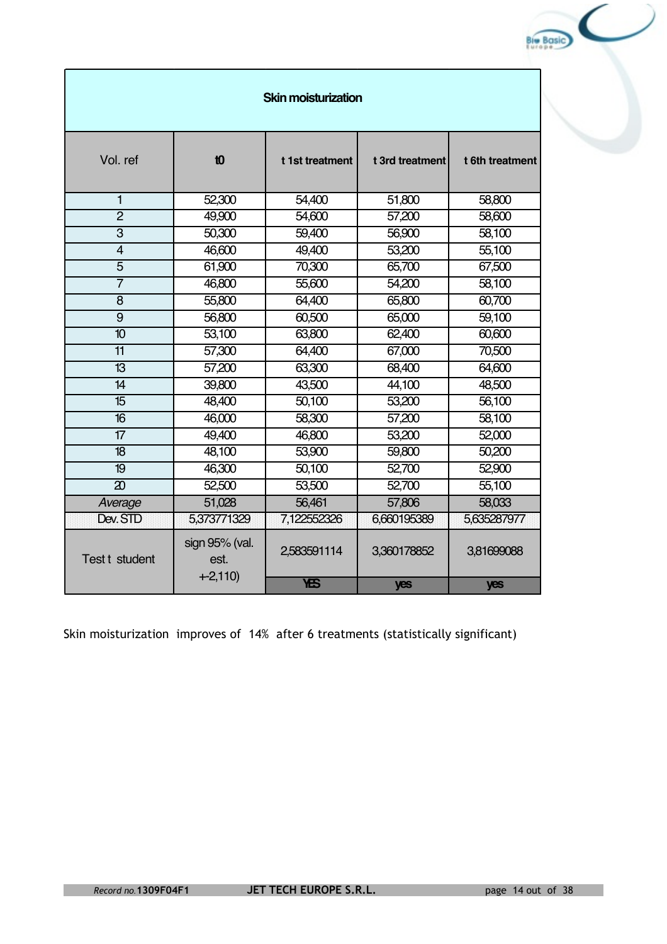| <b>Skin moisturization</b> |                                    |                 |                 |                 |  |
|----------------------------|------------------------------------|-----------------|-----------------|-----------------|--|
| Vol. ref                   | t <sub>0</sub>                     | t 1st treatment | t 3rd treatment | t 6th treatment |  |
| 1                          | 52,300                             | 54,400          | 51,800          | 58,800          |  |
| $\overline{2}$             | 49,900                             | 54,600          | 57,200          | 58,600          |  |
| 3                          | 50,300                             | 59,400          | 56,900          | 58,100          |  |
| 4                          | 46,600                             | 49,400          | 53,200          | 55,100          |  |
| 5                          | 61,900                             | 70,300          | 65,700          | 67,500          |  |
| $\overline{7}$             | 46,800                             | 55,600          | 54,200          | 58,100          |  |
| $\overline{8}$             | 55,800                             | 64,400          | 65,800          | 60,700          |  |
| $\overline{9}$             | 56,800                             | 60,500          | 65,000          | 59,100          |  |
| $\overline{10}$            | 53,100                             | 63,800          | 62,400          | 60,600          |  |
| 11                         | 57,300                             | 64,400          | 67,000          | 70,500          |  |
| $\overline{13}$            | 57,200                             | 63,300          | 68,400          | 64,600          |  |
| $\overline{14}$            | 39,800                             | 43,500          | 44,100          | 48,500          |  |
| $\overline{15}$            | 48,400                             | 50,100          | 53,200          | 56,100          |  |
| $\overline{16}$            | 46,000                             | 58,300          | 57,200          | 58,100          |  |
| $\overline{17}$            | 49,400                             | 46,800          | 53,200          | 52,000          |  |
| $\overline{18}$            | 48,100                             | 53,900          | 59,800          | 50,200          |  |
| 19                         | 46,300                             | 50,100          | 52,700          | 52,900          |  |
| $\overline{\mathcal{D}}$   | 52,500                             | 53,500          | 52,700          | 55,100          |  |
| Average                    | 51,028                             | 56,461          | 57,806          | 58,033          |  |
| Dev. STD                   | 5,373771329                        | 7,122552326     | 6,660195389     | 5,635287977     |  |
| Test t student             | sign 95% (val.<br>est.<br>$+2,110$ | 2,583591114     | 3,360178852     | 3,81699088      |  |
|                            |                                    | <b>YES</b>      | yes             | yes             |  |

Skin moisturization improves of 14% after 6 treatments (statistically significant)

**Bio Basic**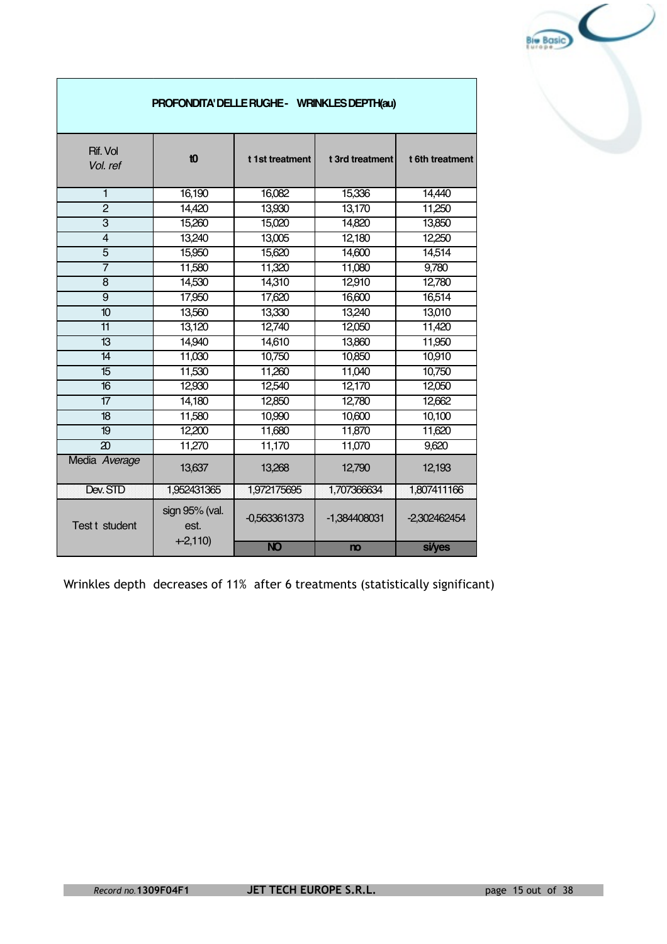

| PROFONDITA' DELLE RUGHE - WRINKLES DEPTH(au) |                                    |                 |                 |                 |  |  |
|----------------------------------------------|------------------------------------|-----------------|-----------------|-----------------|--|--|
| Rif. Vol<br>Vol. ref                         | t <sub>0</sub>                     | t 1st treatment | t 3rd treatment | t 6th treatment |  |  |
| $\mathbf{1}$                                 | 16,190                             | 16,082          | 15,336          | 14,440          |  |  |
| $\overline{2}$                               | 14,420                             | 13,930          | 13,170          | 11,250          |  |  |
| $\overline{3}$                               | 15,260                             | 15,020          | 14,820          | 13,850          |  |  |
| $\overline{4}$                               | 13,240                             | 13,005          | 12,180          | 12,250          |  |  |
| 5                                            | 15,950                             | 15,620          | 14,600          | 14,514          |  |  |
| $\overline{7}$                               | 11,580                             | 11,320          | 11,080          | 9,780           |  |  |
| 8                                            | 14,530                             | 14,310          | 12,910          | 12,780          |  |  |
| $\overline{9}$                               | 17,950                             | 17,620          | 16,600          | 16,514          |  |  |
| $\overline{10}$                              | 13,560                             | 13,330          | 13,240          | 13,010          |  |  |
| 11                                           | 13,120                             | 12,740          | 12,050          | 11,420          |  |  |
| $\overline{13}$                              | 14,940                             | 14,610          | 13,860          | 11,950          |  |  |
| 14                                           | 11,030                             | 10,750          | 10,850          | 10,910          |  |  |
| $\overline{15}$                              | 11,530                             | 11,260          | 11,040          | 10,750          |  |  |
| 16                                           | 12,930                             | 12,540          | 12,170          | 12,050          |  |  |
| 17                                           | 14,180                             | 12,850          | 12,780          | 12,662          |  |  |
| 18                                           | 11,580                             | 10,990          | 10,600          | 10,100          |  |  |
| $\overline{19}$                              | 12,200                             | 11,680          | 11,870          | 11,620          |  |  |
| $\infty$                                     | 11,270                             | 11,170          | 11,070          | 9,620           |  |  |
| Media Average                                | 13,637                             | 13,268          | 12,790          | 12,193          |  |  |
| Dev. STD                                     | 1,952431365                        | 1,972175695     | 1,707366634     | 1,807411166     |  |  |
| Test t student                               | sign 95% (val.<br>est.<br>$+2,110$ | -0,563361373    | -1,384408031    | -2,302462454    |  |  |
|                                              |                                    | $\overline{3}$  | $\mathbf{no}$   | <b>si/yes</b>   |  |  |

Wrinkles depth decreases of 11% after 6 treatments (statistically significant)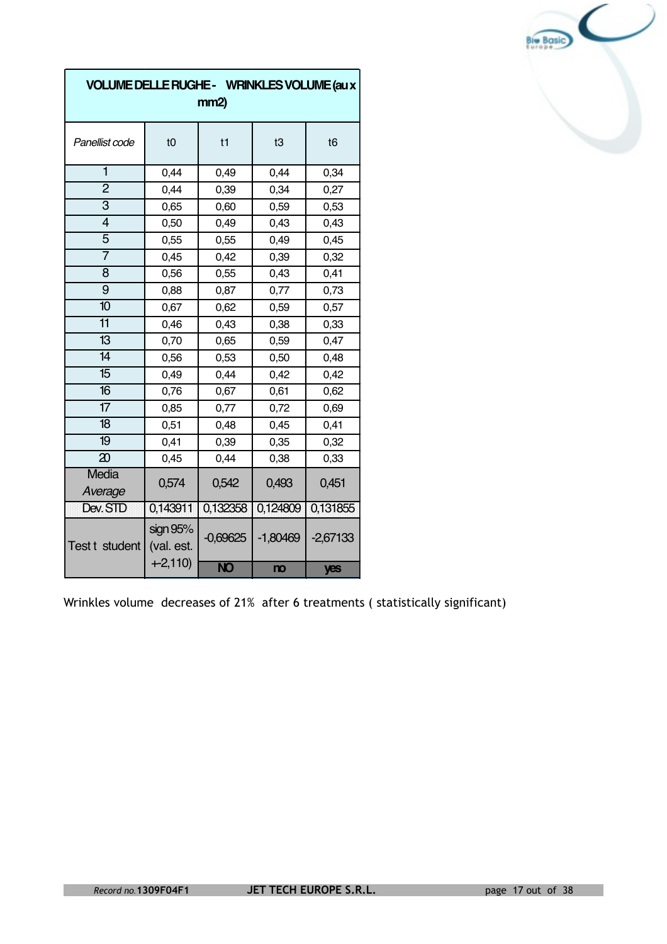| <b>VOLUME DELLE RUGHE - WRINKLES VOLUME (au x</b><br>mm2) |                                    |            |               |            |
|-----------------------------------------------------------|------------------------------------|------------|---------------|------------|
| Panellist code                                            | t <sub>0</sub>                     | t1         | t3            | t6         |
| 1                                                         | 0,44                               | 0,49       | 0,44          | 0,34       |
| $\overline{2}$                                            | 0,44                               | 0,39       | 0,34          | 0,27       |
| 3                                                         | 0,65                               | 0,60       | 0,59          | 0,53       |
| 4                                                         | 0,50                               | 0,49       | 0,43          | 0,43       |
| 5                                                         | 0,55                               | 0,55       | 0,49          | 0,45       |
| 7                                                         | 0,45                               | 0,42       | 0,39          | 0,32       |
| $\overline{8}$                                            | 0,56                               | 0,55       | 0,43          | 0,41       |
| 9                                                         | 0,88                               | 0,87       | 0,77          | 0,73       |
| $\overline{10}$                                           | 0,67                               | 0,62       | 0,59          | 0,57       |
| $\overline{11}$                                           | 0,46                               | 0,43       | 0,38          | 0,33       |
| $\overline{13}$                                           | 0,70                               | 0,65       | 0,59          | 0,47       |
| 14                                                        | 0,56                               | 0,53       | 0,50          | 0,48       |
| $\overline{15}$                                           | 0,49                               | 0,44       | 0,42          | 0,42       |
| 16                                                        | 0,76                               | 0,67       | 0,61          | 0,62       |
| $\overline{17}$                                           | 0,85                               | 0,77       | 0,72          | 0,69       |
| 18                                                        | 0,51                               | 0,48       | 0,45          | 0,41       |
| $\overline{19}$                                           | 0,41                               | 0,39       | 0,35          | 0,32       |
| $\boldsymbol{\mathfrak{D}}$                               | 0,45                               | 0,44       | 0,38          | 0,33       |
| <b>Media</b><br>Average                                   | 0,574                              | 0,542      | 0,493         | 0,451      |
| Dev. STD                                                  | 0,143911                           | 0,132358   | 0,124809      | 0,131855   |
| Test t student                                            | sign 95%<br>(val. est.<br>$+2,110$ | $-0,69625$ | $-1,80469$    | $-2,67133$ |
|                                                           |                                    | <b>NO</b>  | $\mathbf{no}$ | yes        |

Wrinkles volume decreases of 21% after 6 treatments ( statistically significant)

**Bie Basic**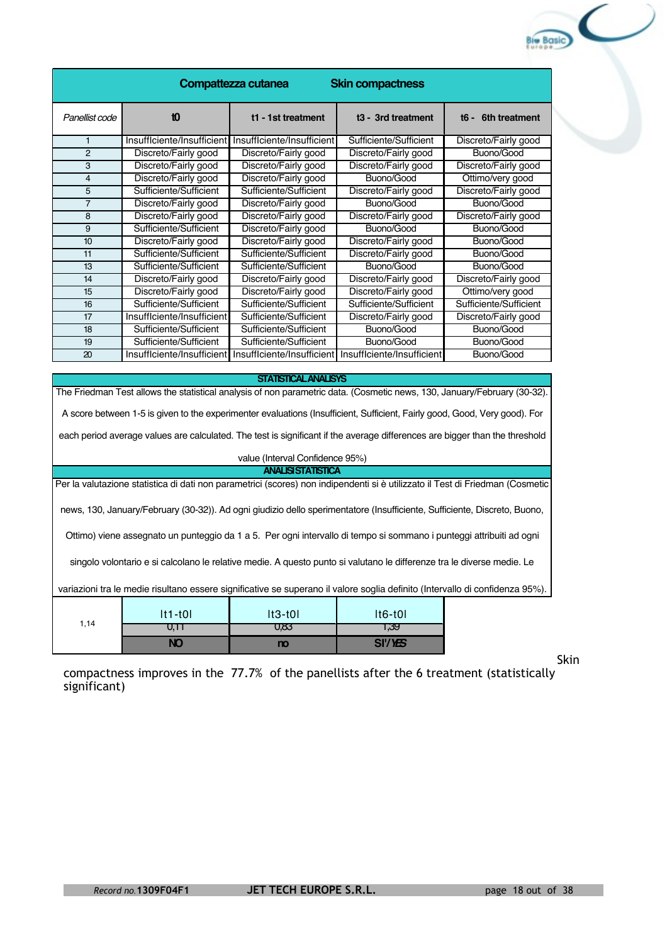| Compattezza cutanea<br><b>Skin compactness</b>                                                                              |                                                                                                                                                                                                                                                        |                                                       |                                |                        |  |
|-----------------------------------------------------------------------------------------------------------------------------|--------------------------------------------------------------------------------------------------------------------------------------------------------------------------------------------------------------------------------------------------------|-------------------------------------------------------|--------------------------------|------------------------|--|
| Panellist code                                                                                                              | t <sub>0</sub>                                                                                                                                                                                                                                         | t1 - 1st treatment                                    | t <sub>3</sub> - 3rd treatment | t6 - 6th treatment     |  |
| $\mathbf{1}$                                                                                                                | Insufficiente/Insufficient                                                                                                                                                                                                                             | Insufficiente/Insufficient                            | Sufficiente/Sufficient         | Discreto/Fairly good   |  |
| $\overline{2}$                                                                                                              | Discreto/Fairly good                                                                                                                                                                                                                                   | Discreto/Fairly good                                  | Discreto/Fairly good           | Buono/Good             |  |
| 3                                                                                                                           | Discreto/Fairly good                                                                                                                                                                                                                                   | Discreto/Fairly good                                  | Discreto/Fairly good           | Discreto/Fairly good   |  |
| $\overline{4}$                                                                                                              | Discreto/Fairly good                                                                                                                                                                                                                                   | Discreto/Fairly good                                  | Buono/Good                     | Ottimo/very good       |  |
| 5                                                                                                                           | Sufficiente/Sufficient                                                                                                                                                                                                                                 | Sufficiente/Sufficient                                | Discreto/Fairly good           | Discreto/Fairly good   |  |
| $\overline{7}$                                                                                                              | Discreto/Fairly good                                                                                                                                                                                                                                   | Discreto/Fairly good                                  | Buono/Good                     | Buono/Good             |  |
| 8                                                                                                                           | Discreto/Fairly good                                                                                                                                                                                                                                   | Discreto/Fairly good                                  | Discreto/Fairly good           | Discreto/Fairly good   |  |
| 9                                                                                                                           | Sufficiente/Sufficient                                                                                                                                                                                                                                 | Discreto/Fairly good                                  | Buono/Good                     | Buono/Good             |  |
| 10                                                                                                                          | Discreto/Fairly good                                                                                                                                                                                                                                   | Discreto/Fairly good                                  | Discreto/Fairly good           | Buono/Good             |  |
| 11                                                                                                                          | Sufficiente/Sufficient                                                                                                                                                                                                                                 | Sufficiente/Sufficient                                | Discreto/Fairly good           | Buono/Good             |  |
| 13                                                                                                                          | Sufficiente/Sufficient                                                                                                                                                                                                                                 | Sufficiente/Sufficient                                | Buono/Good                     | Buono/Good             |  |
| 14                                                                                                                          | Discreto/Fairly good                                                                                                                                                                                                                                   | Discreto/Fairly good                                  | Discreto/Fairly good           | Discreto/Fairly good   |  |
| 15                                                                                                                          | Discreto/Fairly good                                                                                                                                                                                                                                   | Discreto/Fairly good                                  | Discreto/Fairly good           | Ottimo/very good       |  |
| 16                                                                                                                          | Sufficiente/Sufficient                                                                                                                                                                                                                                 | Sufficiente/Sufficient                                | Sufficiente/Sufficient         | Sufficiente/Sufficient |  |
| 17                                                                                                                          | Insufficiente/Insufficient                                                                                                                                                                                                                             | Sufficiente/Sufficient                                | Discreto/Fairly good           | Discreto/Fairly good   |  |
| 18                                                                                                                          | Sufficiente/Sufficient                                                                                                                                                                                                                                 | Sufficiente/Sufficient                                | Buono/Good                     | Buono/Good             |  |
| 19                                                                                                                          | Sufficiente/Sufficient                                                                                                                                                                                                                                 | Sufficiente/Sufficient                                | Buono/Good                     | Buono/Good             |  |
| 20                                                                                                                          |                                                                                                                                                                                                                                                        | Insufficiente/Insufficient Insufficiente/Insufficient | Insufficiente/Insufficient     | Buono/Good             |  |
|                                                                                                                             |                                                                                                                                                                                                                                                        |                                                       |                                |                        |  |
|                                                                                                                             |                                                                                                                                                                                                                                                        | <b>STATISTICAL ANALISYS</b>                           |                                |                        |  |
|                                                                                                                             | The Friedman Test allows the statistical analysis of non parametric data. (Cosmetic news, 130, January/February (30-32).<br>A score between 1-5 is given to the experimenter evaluations (Insufficient, Sufficient, Fairly good, Good, Very good). For |                                                       |                                |                        |  |
| each period average values are calculated. The test is significant if the average differences are bigger than the threshold |                                                                                                                                                                                                                                                        |                                                       |                                |                        |  |
| value (Interval Confidence 95%)                                                                                             |                                                                                                                                                                                                                                                        |                                                       |                                |                        |  |
|                                                                                                                             |                                                                                                                                                                                                                                                        | <b>ANALISISTATISTICA</b>                              |                                |                        |  |
|                                                                                                                             | Per la valutazione statistica di dati non parametrici (scores) non indipendenti si è utilizzato il Test di Friedman (Cosmetic                                                                                                                          |                                                       |                                |                        |  |
| news, 130, January/February (30-32)). Ad ogni giudizio dello sperimentatore (Insufficiente, Sufficiente, Discreto, Buono,   |                                                                                                                                                                                                                                                        |                                                       |                                |                        |  |
|                                                                                                                             | Ottimo) viene assegnato un punteggio da 1 a 5. Per ogni intervallo di tempo si sommano i punteggi attribuiti ad ogni                                                                                                                                   |                                                       |                                |                        |  |
|                                                                                                                             | singolo volontario e si calcolano le relative medie. A questo punto si valutano le differenze tra le diverse medie. Le                                                                                                                                 |                                                       |                                |                        |  |

variazioni tra le medie risultano essere significative se superano il valore soglia definito (Intervallo di confidenza 95%).

|      | $ t1-t0 $ | $It3-101$ | $It6-101$ |
|------|-----------|-----------|-----------|
| 1,14 | U.TT      | 0,83      | 1.39      |
|      | <b>NO</b> | mo        | SI'/YES   |

Skin

15

**Bie Basic** 

compactness improves in the 77.7% of the panellists after the 6 treatment (statistically significant)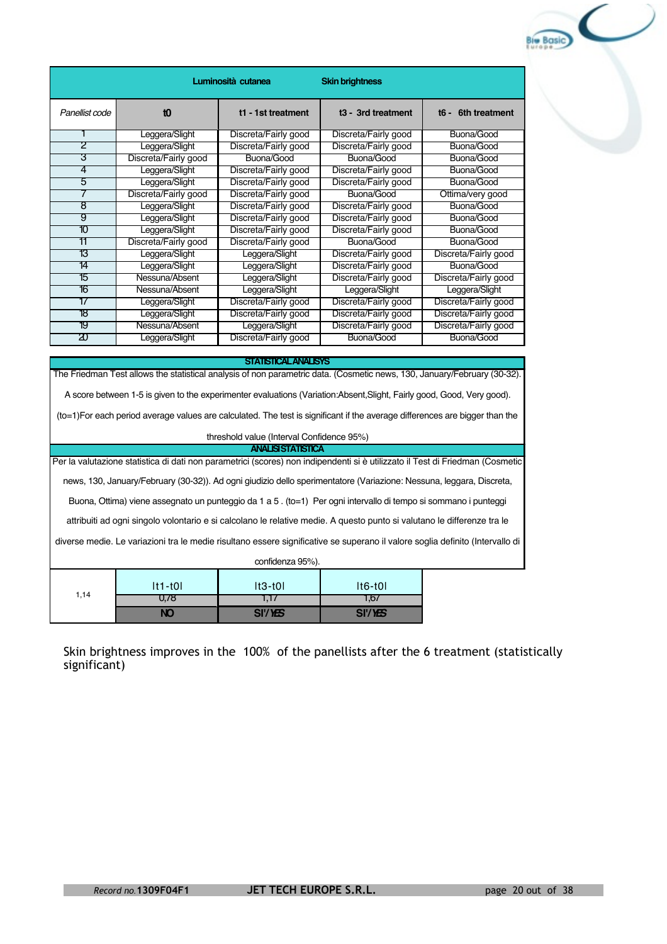| Panellist code<br>t <sub>0</sub><br>t1 - 1st treatment<br>t <sub>3</sub> - 3rd treatment<br>t6 - 6th treatment<br>T<br>Leggera/Slight<br>Discreta/Fairly good<br>Discreta/Fairly good<br>Buona/Good<br>2<br>Leggera/Slight<br>Discreta/Fairly good<br>Discreta/Fairly good<br>Buona/Good<br>З<br>Discreta/Fairly good<br>Buona/Good<br>Buona/Good<br>Buona/Good<br>4<br>Leggera/Slight<br>Discreta/Fairly good<br>Discreta/Fairly good<br>Buona/Good<br>5<br>Leggera/Slight<br>Discreta/Fairly good<br>Discreta/Fairly good<br>Buona/Good<br>7<br>Discreta/Fairly good<br>Discreta/Fairly good<br>Buona/Good<br>Ottima/very good<br>8<br>Buona/Good<br>Leggera/Slight<br>Discreta/Fairly good<br>Discreta/Fairly good<br>पु<br>Leggera/Slight<br>Discreta/Fairly good<br>Discreta/Fairly good<br>Buona/Good<br>10<br>Discreta/Fairly good<br>Leggera/Slight<br>Discreta/Fairly good<br>Buona/Good<br>11<br>Discreta/Fairly good<br>Discreta/Fairly good<br>Buona/Good<br>Buona/Good<br>13<br>Leggera/Slight<br>Leggera/Slight<br>Discreta/Fairly good<br>Discreta/Fairly good<br>14<br>Buona/Good<br>Leggera/Slight<br>Leggera/Slight<br>Discreta/Fairly good<br>15<br>Nessuna/Absent<br>Discreta/Fairly good<br>Leggera/Slight<br>Discreta/Fairly good<br>16<br>Nessuna/Absent<br>Leggera/Slight<br>Leggera/Slight<br>Leggera/Slight<br>17<br>Discreta/Fairly good<br>Discreta/Fairly good<br>Discreta/Fairly good<br>Leggera/Slight<br>18<br>Leggera/Slight<br>Discreta/Fairly good<br>Discreta/Fairly good<br>Discreta/Fairly good<br>19<br>Discreta/Fairly good<br>Nessuna/Absent<br>Leggera/Slight<br>Discreta/Fairly good<br>ΈŪ<br>Buona/Good<br>Buona/Good<br>Leggera/Slight<br>Discreta/Fairly good<br><b>STATISTICAL ANALISYS</b><br>The Friedman Test allows the statistical analysis of non parametric data. (Cosmetic news, 130, January/February (30-32).<br>A score between 1-5 is given to the experimenter evaluations (Variation:Absent,Slight, Fairly good, Good, Very good).<br>(to=1)For each period average values are calculated. The test is significant if the average differences are bigger than the<br>threshold value (Interval Confidence 95%)<br><b>ANALISI STATISTICA</b><br>news, 130, January/February (30-32)). Ad ogni giudizio dello sperimentatore (Variazione: Nessuna, leggara, Discreta,<br>Buona, Ottima) viene assegnato un punteggio da 1 a 5 . (to=1) Per ogni intervallo di tempo si sommano i punteggi<br>attribuiti ad ogni singolo volontario e si calcolano le relative medie. A questo punto si valutano le differenze tra le<br>confidenza 95%).<br>$ t1-t0 $<br>$It3-t01$<br>$It6-t01$<br>1,14<br>1,17<br>1,67<br>SI'/YES<br>SI'/YES<br><b>NO</b> | Luminosità cutanea<br><b>Skin brightness</b>                                                                                  |  |  |  |  |  |
|-------------------------------------------------------------------------------------------------------------------------------------------------------------------------------------------------------------------------------------------------------------------------------------------------------------------------------------------------------------------------------------------------------------------------------------------------------------------------------------------------------------------------------------------------------------------------------------------------------------------------------------------------------------------------------------------------------------------------------------------------------------------------------------------------------------------------------------------------------------------------------------------------------------------------------------------------------------------------------------------------------------------------------------------------------------------------------------------------------------------------------------------------------------------------------------------------------------------------------------------------------------------------------------------------------------------------------------------------------------------------------------------------------------------------------------------------------------------------------------------------------------------------------------------------------------------------------------------------------------------------------------------------------------------------------------------------------------------------------------------------------------------------------------------------------------------------------------------------------------------------------------------------------------------------------------------------------------------------------------------------------------------------------------------------------------------------------------------------------------------------------------------------------------------------------------------------------------------------------------------------------------------------------------------------------------------------------------------------------------------------------------------------------------------------------------------------------------------------------------------------------------------------------------------------------------------------------------------------------------------------------------------------------------------------------------------------------|-------------------------------------------------------------------------------------------------------------------------------|--|--|--|--|--|
|                                                                                                                                                                                                                                                                                                                                                                                                                                                                                                                                                                                                                                                                                                                                                                                                                                                                                                                                                                                                                                                                                                                                                                                                                                                                                                                                                                                                                                                                                                                                                                                                                                                                                                                                                                                                                                                                                                                                                                                                                                                                                                                                                                                                                                                                                                                                                                                                                                                                                                                                                                                                                                                                                                       |                                                                                                                               |  |  |  |  |  |
|                                                                                                                                                                                                                                                                                                                                                                                                                                                                                                                                                                                                                                                                                                                                                                                                                                                                                                                                                                                                                                                                                                                                                                                                                                                                                                                                                                                                                                                                                                                                                                                                                                                                                                                                                                                                                                                                                                                                                                                                                                                                                                                                                                                                                                                                                                                                                                                                                                                                                                                                                                                                                                                                                                       |                                                                                                                               |  |  |  |  |  |
|                                                                                                                                                                                                                                                                                                                                                                                                                                                                                                                                                                                                                                                                                                                                                                                                                                                                                                                                                                                                                                                                                                                                                                                                                                                                                                                                                                                                                                                                                                                                                                                                                                                                                                                                                                                                                                                                                                                                                                                                                                                                                                                                                                                                                                                                                                                                                                                                                                                                                                                                                                                                                                                                                                       |                                                                                                                               |  |  |  |  |  |
|                                                                                                                                                                                                                                                                                                                                                                                                                                                                                                                                                                                                                                                                                                                                                                                                                                                                                                                                                                                                                                                                                                                                                                                                                                                                                                                                                                                                                                                                                                                                                                                                                                                                                                                                                                                                                                                                                                                                                                                                                                                                                                                                                                                                                                                                                                                                                                                                                                                                                                                                                                                                                                                                                                       |                                                                                                                               |  |  |  |  |  |
|                                                                                                                                                                                                                                                                                                                                                                                                                                                                                                                                                                                                                                                                                                                                                                                                                                                                                                                                                                                                                                                                                                                                                                                                                                                                                                                                                                                                                                                                                                                                                                                                                                                                                                                                                                                                                                                                                                                                                                                                                                                                                                                                                                                                                                                                                                                                                                                                                                                                                                                                                                                                                                                                                                       |                                                                                                                               |  |  |  |  |  |
|                                                                                                                                                                                                                                                                                                                                                                                                                                                                                                                                                                                                                                                                                                                                                                                                                                                                                                                                                                                                                                                                                                                                                                                                                                                                                                                                                                                                                                                                                                                                                                                                                                                                                                                                                                                                                                                                                                                                                                                                                                                                                                                                                                                                                                                                                                                                                                                                                                                                                                                                                                                                                                                                                                       |                                                                                                                               |  |  |  |  |  |
|                                                                                                                                                                                                                                                                                                                                                                                                                                                                                                                                                                                                                                                                                                                                                                                                                                                                                                                                                                                                                                                                                                                                                                                                                                                                                                                                                                                                                                                                                                                                                                                                                                                                                                                                                                                                                                                                                                                                                                                                                                                                                                                                                                                                                                                                                                                                                                                                                                                                                                                                                                                                                                                                                                       |                                                                                                                               |  |  |  |  |  |
|                                                                                                                                                                                                                                                                                                                                                                                                                                                                                                                                                                                                                                                                                                                                                                                                                                                                                                                                                                                                                                                                                                                                                                                                                                                                                                                                                                                                                                                                                                                                                                                                                                                                                                                                                                                                                                                                                                                                                                                                                                                                                                                                                                                                                                                                                                                                                                                                                                                                                                                                                                                                                                                                                                       |                                                                                                                               |  |  |  |  |  |
|                                                                                                                                                                                                                                                                                                                                                                                                                                                                                                                                                                                                                                                                                                                                                                                                                                                                                                                                                                                                                                                                                                                                                                                                                                                                                                                                                                                                                                                                                                                                                                                                                                                                                                                                                                                                                                                                                                                                                                                                                                                                                                                                                                                                                                                                                                                                                                                                                                                                                                                                                                                                                                                                                                       |                                                                                                                               |  |  |  |  |  |
|                                                                                                                                                                                                                                                                                                                                                                                                                                                                                                                                                                                                                                                                                                                                                                                                                                                                                                                                                                                                                                                                                                                                                                                                                                                                                                                                                                                                                                                                                                                                                                                                                                                                                                                                                                                                                                                                                                                                                                                                                                                                                                                                                                                                                                                                                                                                                                                                                                                                                                                                                                                                                                                                                                       |                                                                                                                               |  |  |  |  |  |
|                                                                                                                                                                                                                                                                                                                                                                                                                                                                                                                                                                                                                                                                                                                                                                                                                                                                                                                                                                                                                                                                                                                                                                                                                                                                                                                                                                                                                                                                                                                                                                                                                                                                                                                                                                                                                                                                                                                                                                                                                                                                                                                                                                                                                                                                                                                                                                                                                                                                                                                                                                                                                                                                                                       |                                                                                                                               |  |  |  |  |  |
|                                                                                                                                                                                                                                                                                                                                                                                                                                                                                                                                                                                                                                                                                                                                                                                                                                                                                                                                                                                                                                                                                                                                                                                                                                                                                                                                                                                                                                                                                                                                                                                                                                                                                                                                                                                                                                                                                                                                                                                                                                                                                                                                                                                                                                                                                                                                                                                                                                                                                                                                                                                                                                                                                                       |                                                                                                                               |  |  |  |  |  |
|                                                                                                                                                                                                                                                                                                                                                                                                                                                                                                                                                                                                                                                                                                                                                                                                                                                                                                                                                                                                                                                                                                                                                                                                                                                                                                                                                                                                                                                                                                                                                                                                                                                                                                                                                                                                                                                                                                                                                                                                                                                                                                                                                                                                                                                                                                                                                                                                                                                                                                                                                                                                                                                                                                       |                                                                                                                               |  |  |  |  |  |
|                                                                                                                                                                                                                                                                                                                                                                                                                                                                                                                                                                                                                                                                                                                                                                                                                                                                                                                                                                                                                                                                                                                                                                                                                                                                                                                                                                                                                                                                                                                                                                                                                                                                                                                                                                                                                                                                                                                                                                                                                                                                                                                                                                                                                                                                                                                                                                                                                                                                                                                                                                                                                                                                                                       |                                                                                                                               |  |  |  |  |  |
|                                                                                                                                                                                                                                                                                                                                                                                                                                                                                                                                                                                                                                                                                                                                                                                                                                                                                                                                                                                                                                                                                                                                                                                                                                                                                                                                                                                                                                                                                                                                                                                                                                                                                                                                                                                                                                                                                                                                                                                                                                                                                                                                                                                                                                                                                                                                                                                                                                                                                                                                                                                                                                                                                                       |                                                                                                                               |  |  |  |  |  |
|                                                                                                                                                                                                                                                                                                                                                                                                                                                                                                                                                                                                                                                                                                                                                                                                                                                                                                                                                                                                                                                                                                                                                                                                                                                                                                                                                                                                                                                                                                                                                                                                                                                                                                                                                                                                                                                                                                                                                                                                                                                                                                                                                                                                                                                                                                                                                                                                                                                                                                                                                                                                                                                                                                       |                                                                                                                               |  |  |  |  |  |
|                                                                                                                                                                                                                                                                                                                                                                                                                                                                                                                                                                                                                                                                                                                                                                                                                                                                                                                                                                                                                                                                                                                                                                                                                                                                                                                                                                                                                                                                                                                                                                                                                                                                                                                                                                                                                                                                                                                                                                                                                                                                                                                                                                                                                                                                                                                                                                                                                                                                                                                                                                                                                                                                                                       |                                                                                                                               |  |  |  |  |  |
|                                                                                                                                                                                                                                                                                                                                                                                                                                                                                                                                                                                                                                                                                                                                                                                                                                                                                                                                                                                                                                                                                                                                                                                                                                                                                                                                                                                                                                                                                                                                                                                                                                                                                                                                                                                                                                                                                                                                                                                                                                                                                                                                                                                                                                                                                                                                                                                                                                                                                                                                                                                                                                                                                                       |                                                                                                                               |  |  |  |  |  |
|                                                                                                                                                                                                                                                                                                                                                                                                                                                                                                                                                                                                                                                                                                                                                                                                                                                                                                                                                                                                                                                                                                                                                                                                                                                                                                                                                                                                                                                                                                                                                                                                                                                                                                                                                                                                                                                                                                                                                                                                                                                                                                                                                                                                                                                                                                                                                                                                                                                                                                                                                                                                                                                                                                       |                                                                                                                               |  |  |  |  |  |
|                                                                                                                                                                                                                                                                                                                                                                                                                                                                                                                                                                                                                                                                                                                                                                                                                                                                                                                                                                                                                                                                                                                                                                                                                                                                                                                                                                                                                                                                                                                                                                                                                                                                                                                                                                                                                                                                                                                                                                                                                                                                                                                                                                                                                                                                                                                                                                                                                                                                                                                                                                                                                                                                                                       |                                                                                                                               |  |  |  |  |  |
|                                                                                                                                                                                                                                                                                                                                                                                                                                                                                                                                                                                                                                                                                                                                                                                                                                                                                                                                                                                                                                                                                                                                                                                                                                                                                                                                                                                                                                                                                                                                                                                                                                                                                                                                                                                                                                                                                                                                                                                                                                                                                                                                                                                                                                                                                                                                                                                                                                                                                                                                                                                                                                                                                                       |                                                                                                                               |  |  |  |  |  |
|                                                                                                                                                                                                                                                                                                                                                                                                                                                                                                                                                                                                                                                                                                                                                                                                                                                                                                                                                                                                                                                                                                                                                                                                                                                                                                                                                                                                                                                                                                                                                                                                                                                                                                                                                                                                                                                                                                                                                                                                                                                                                                                                                                                                                                                                                                                                                                                                                                                                                                                                                                                                                                                                                                       | Per la valutazione statistica di dati non parametrici (scores) non indipendenti si è utilizzato il Test di Friedman (Cosmetic |  |  |  |  |  |
|                                                                                                                                                                                                                                                                                                                                                                                                                                                                                                                                                                                                                                                                                                                                                                                                                                                                                                                                                                                                                                                                                                                                                                                                                                                                                                                                                                                                                                                                                                                                                                                                                                                                                                                                                                                                                                                                                                                                                                                                                                                                                                                                                                                                                                                                                                                                                                                                                                                                                                                                                                                                                                                                                                       |                                                                                                                               |  |  |  |  |  |
|                                                                                                                                                                                                                                                                                                                                                                                                                                                                                                                                                                                                                                                                                                                                                                                                                                                                                                                                                                                                                                                                                                                                                                                                                                                                                                                                                                                                                                                                                                                                                                                                                                                                                                                                                                                                                                                                                                                                                                                                                                                                                                                                                                                                                                                                                                                                                                                                                                                                                                                                                                                                                                                                                                       |                                                                                                                               |  |  |  |  |  |
|                                                                                                                                                                                                                                                                                                                                                                                                                                                                                                                                                                                                                                                                                                                                                                                                                                                                                                                                                                                                                                                                                                                                                                                                                                                                                                                                                                                                                                                                                                                                                                                                                                                                                                                                                                                                                                                                                                                                                                                                                                                                                                                                                                                                                                                                                                                                                                                                                                                                                                                                                                                                                                                                                                       |                                                                                                                               |  |  |  |  |  |
|                                                                                                                                                                                                                                                                                                                                                                                                                                                                                                                                                                                                                                                                                                                                                                                                                                                                                                                                                                                                                                                                                                                                                                                                                                                                                                                                                                                                                                                                                                                                                                                                                                                                                                                                                                                                                                                                                                                                                                                                                                                                                                                                                                                                                                                                                                                                                                                                                                                                                                                                                                                                                                                                                                       | diverse medie. Le variazioni tra le medie risultano essere significative se superano il valore soglia definito (Intervallo di |  |  |  |  |  |
|                                                                                                                                                                                                                                                                                                                                                                                                                                                                                                                                                                                                                                                                                                                                                                                                                                                                                                                                                                                                                                                                                                                                                                                                                                                                                                                                                                                                                                                                                                                                                                                                                                                                                                                                                                                                                                                                                                                                                                                                                                                                                                                                                                                                                                                                                                                                                                                                                                                                                                                                                                                                                                                                                                       |                                                                                                                               |  |  |  |  |  |
|                                                                                                                                                                                                                                                                                                                                                                                                                                                                                                                                                                                                                                                                                                                                                                                                                                                                                                                                                                                                                                                                                                                                                                                                                                                                                                                                                                                                                                                                                                                                                                                                                                                                                                                                                                                                                                                                                                                                                                                                                                                                                                                                                                                                                                                                                                                                                                                                                                                                                                                                                                                                                                                                                                       |                                                                                                                               |  |  |  |  |  |
|                                                                                                                                                                                                                                                                                                                                                                                                                                                                                                                                                                                                                                                                                                                                                                                                                                                                                                                                                                                                                                                                                                                                                                                                                                                                                                                                                                                                                                                                                                                                                                                                                                                                                                                                                                                                                                                                                                                                                                                                                                                                                                                                                                                                                                                                                                                                                                                                                                                                                                                                                                                                                                                                                                       |                                                                                                                               |  |  |  |  |  |

Skin brightness improves in the 100% of the panellists after the 6 treatment (statistically significant)

**Bio Basic**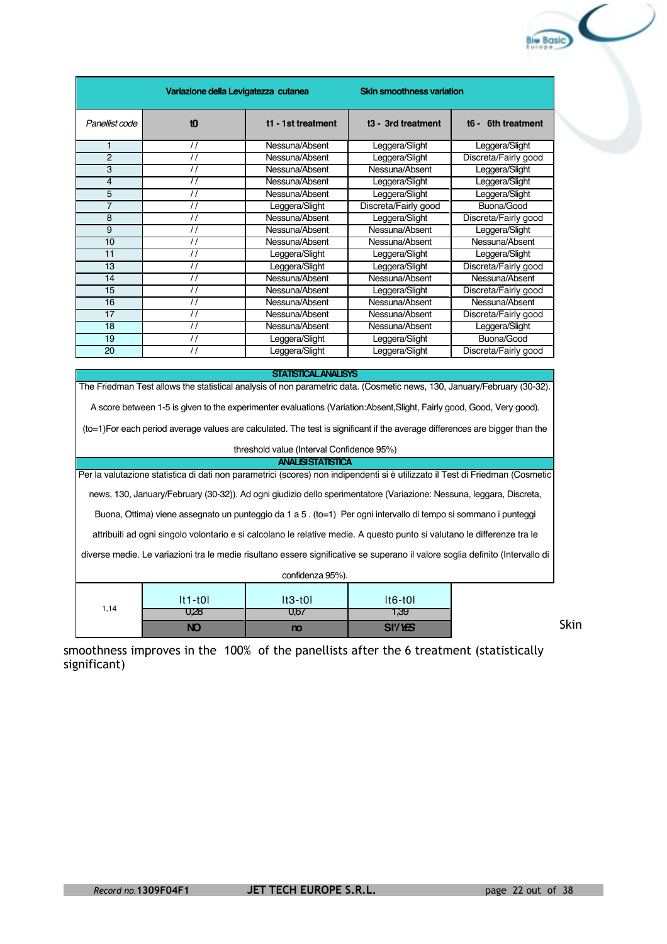|                |                   | Variazione della Levigatezza cutanea | <b>Skin smoothness variation</b> |                      |
|----------------|-------------------|--------------------------------------|----------------------------------|----------------------|
| Panellist code | $\mathbf{f}$      | t1 - 1st treatment                   | t <sub>3</sub> - 3rd treatment   | t6 - 6th treatment   |
| 1              | $\prime$          | Nessuna/Absent                       | Leggera/Slight                   | Leggera/Slight       |
| $\overline{2}$ | $\frac{1}{2}$     | Nessuna/Absent                       | Leggera/Slight                   | Discreta/Fairly good |
| 3              | $^{\prime\prime}$ | Nessuna/Absent                       | Nessuna/Absent                   | Leggera/Slight       |
| $\overline{4}$ | $\frac{1}{2}$     | Nessuna/Absent                       | Leggera/Slight                   | Leggera/Slight       |
| 5              | $\frac{1}{2}$     | Nessuna/Absent                       | Leggera/Slight                   | Leggera/Slight       |
| 7              | $\frac{1}{2}$     | Leggera/Slight                       | Discreta/Fairly good             | Buona/Good           |
| 8              | $\frac{1}{2}$     | Nessuna/Absent                       | Leggera/Slight                   | Discreta/Fairly good |
| 9              | $\frac{1}{2}$     | Nessuna/Absent                       | Nessuna/Absent                   | Leggera/Slight       |
| 10             | $\frac{1}{2}$     | Nessuna/Absent                       | Nessuna/Absent                   | Nessuna/Absent       |
| 11             | $\frac{1}{2}$     | Leggera/Slight                       | Leggera/Slight                   | Leggera/Slight       |
| 13             | $\frac{1}{2}$     | Leggera/Slight                       | Leggera/Slight                   | Discreta/Fairly good |
| 14             | $\prime$          | Nessuna/Absent                       | Nessuna/Absent                   | Nessuna/Absent       |
| 15             | $\frac{1}{2}$     | Nessuna/Absent                       | Leggera/Slight                   | Discreta/Fairly good |
| 16             | $\frac{1}{2}$     | Nessuna/Absent                       | Nessuna/Absent                   | Nessuna/Absent       |
| 17             | $\frac{1}{2}$     | Nessuna/Absent                       | Nessuna/Absent                   | Discreta/Fairly good |
| 18             | $\frac{1}{2}$     | Nessuna/Absent                       | Nessuna/Absent                   | Leggera/Slight       |
| 19             | $\prime$          | Leggera/Slight                       | Leggera/Slight                   | Buona/Good           |
| 20             | $\frac{1}{2}$     | Leggera/Slight                       | Leggera/Slight                   | Discreta/Fairly good |

| STATISTICAL ANALISYS                                                                                                           |                                                                                                                         |                           |           |  |  |
|--------------------------------------------------------------------------------------------------------------------------------|-------------------------------------------------------------------------------------------------------------------------|---------------------------|-----------|--|--|
| The Friedman Test allows the statistical analysis of non parametric data. (Cosmetic news, 130, January/February (30-32).       |                                                                                                                         |                           |           |  |  |
| A score between 1-5 is given to the experimenter evaluations (Variation:Absent, Slight, Fairly good, Good, Very good).         |                                                                                                                         |                           |           |  |  |
| (to=1)For each period average values are calculated. The test is significant if the average differences are bigger than the    |                                                                                                                         |                           |           |  |  |
| threshold value (Interval Confidence 95%)                                                                                      |                                                                                                                         |                           |           |  |  |
|                                                                                                                                |                                                                                                                         | <b>ANALISI STATISTICA</b> |           |  |  |
| Per la valutazione statistica di dati non parametrici (scores) non indipendenti si è utilizzato il Test di Friedman (Cosmetic) |                                                                                                                         |                           |           |  |  |
|                                                                                                                                | news, 130, January/February (30-32)). Ad ogni giudizio dello sperimentatore (Variazione: Nessuna, leggara, Discreta,    |                           |           |  |  |
|                                                                                                                                | Buona, Ottima) viene assegnato un punteggio da 1 a 5 . (to=1) Per ogni intervallo di tempo si sommano i punteggi        |                           |           |  |  |
|                                                                                                                                | attribuiti ad ogni singolo volontario e si calcolano le relative medie. A questo punto si valutano le differenze tra le |                           |           |  |  |
| diverse medie. Le variazioni tra le medie risultano essere significative se superano il valore soglia definito (Intervallo di  |                                                                                                                         |                           |           |  |  |
| confidenza 95%).                                                                                                               |                                                                                                                         |                           |           |  |  |
|                                                                                                                                | $ t1-t0 $                                                                                                               | $ t3-t0 $                 | $ 16-10 $ |  |  |
| 1,14                                                                                                                           | 0,28                                                                                                                    | 0,67                      | 1,39      |  |  |
|                                                                                                                                | <b>NO</b>                                                                                                               | $\mathbf n$               | SI'/E     |  |  |

smoothness improves in the 100% of the panellists after the 6 treatment (statistically significant)

**Bie Basic**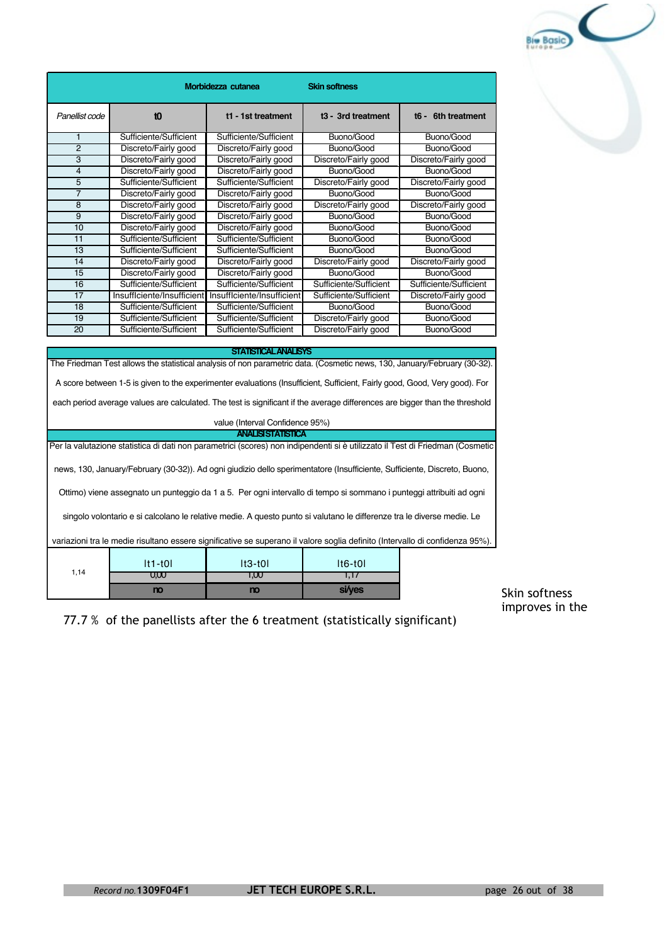|                |                            | Morbidezza cutanea         | <b>Skin softness</b>           |                        |
|----------------|----------------------------|----------------------------|--------------------------------|------------------------|
| Panellist code | to                         | t1 - 1st treatment         | t <sub>3</sub> - 3rd treatment | t6 - 6th treatment     |
| 1              | Sufficiente/Sufficient     | Sufficiente/Sufficient     | Buono/Good                     | Buono/Good             |
| $\overline{2}$ | Discreto/Fairly good       | Discreto/Fairly good       | Buono/Good                     | Buono/Good             |
| 3              | Discreto/Fairly good       | Discreto/Fairly good       | Discreto/Fairly good           | Discreto/Fairly good   |
| 4              | Discreto/Fairly good       | Discreto/Fairly good       | Buono/Good                     | Buono/Good             |
| 5              | Sufficiente/Sufficient     | Sufficiente/Sufficient     | Discreto/Fairly good           | Discreto/Fairly good   |
| $\overline{7}$ | Discreto/Fairly good       | Discreto/Fairly good       | Buono/Good                     | Buono/Good             |
| 8              | Discreto/Fairly good       | Discreto/Fairly good       | Discreto/Fairly good           | Discreto/Fairly good   |
| 9              | Discreto/Fairly good       | Discreto/Fairly good       | Buono/Good                     | Buono/Good             |
| 10             | Discreto/Fairly good       | Discreto/Fairly good       | Buono/Good                     | Buono/Good             |
| 11             | Sufficiente/Sufficient     | Sufficiente/Sufficient     | Buono/Good                     | Buono/Good             |
| 13             | Sufficiente/Sufficient     | Sufficiente/Sufficient     | Buono/Good                     | Buono/Good             |
| 14             | Discreto/Fairly good       | Discreto/Fairly good       | Discreto/Fairly good           | Discreto/Fairly good   |
| 15             | Discreto/Fairly good       | Discreto/Fairly good       | Buono/Good                     | Buono/Good             |
| 16             | Sufficiente/Sufficient     | Sufficiente/Sufficient     | Sufficiente/Sufficient         | Sufficiente/Sufficient |
| 17             | Insufficiente/Insufficient | Insufficiente/Insufficient | Sufficiente/Sufficient         | Discreto/Fairly good   |
| 18             | Sufficiente/Sufficient     | Sufficiente/Sufficient     | Buono/Good                     | Buono/Good             |
| 19             | Sufficiente/Sufficient     | Sufficiente/Sufficient     | Discreto/Fairly good           | Buono/Good             |
| 20             | Sufficiente/Sufficient     | Sufficiente/Sufficient     | Discreto/Fairly good           | Buono/Good             |

# |t1-t0| |t3-t0| |t6-t0| 0,00 1,1*1* Per la valutazione statistica di dati non parametrici (scores) non indipendenti si è utilizzato il Test di Friedman (Cosmetic news, 130, January/February (30-32)). Ad ogni giudizio dello sperimentatore (Insufficiente, Sufficiente, Discreto, Buono, Ottimo) viene assegnato un punteggio da 1 a 5. Per ogni intervallo di tempo si sommano i punteggi attribuiti ad ogni singolo volontario e si calcolano le relative medie. A questo punto si valutano le differenze tra le diverse medie. Le variazioni tra le medie risultano essere significative se superano il valore soglia definito (Intervallo di confidenza 95%). 1,14 **STATISTICALANALISYS** The Friedman Test allows the statistical analysis of non parametric data. (Cosmetic news, 130, January/February (30-32). A score between 1-5 is given to the experimenter evaluations (Insufficient, Sufficient, Fairly good, Good, Very good). For each period average values are calculated. The test is significant if the average differences are bigger than the threshold value (Interval Confidence 95%) **ANALISISTATISTICA**

**no no si/yes**

Skin softness improves in the

**Bie Basic** 

77.7 % of the panellists after the 6 treatment (statistically significant)